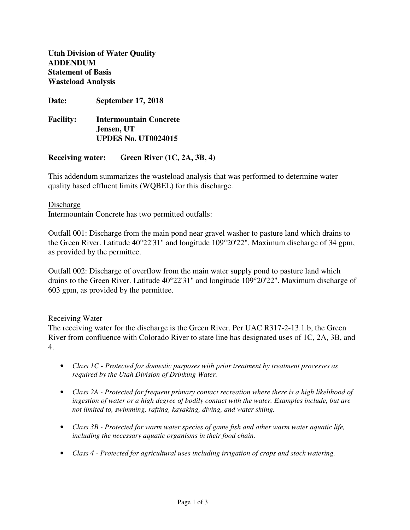**Utah Division of Water Quality ADDENDUM Statement of Basis Wasteload Analysis** 

**Date: September 17, 2018** 

| <b>Facility:</b> | Intermountain Concrete     |
|------------------|----------------------------|
|                  | Jensen, UT                 |
|                  | <b>UPDES No. UT0024015</b> |

# **Receiving water: Green River (1C, 2A, 3B, 4)**

This addendum summarizes the wasteload analysis that was performed to determine water quality based effluent limits (WQBEL) for this discharge.

## Discharge

Intermountain Concrete has two permitted outfalls:

Outfall 001: Discharge from the main pond near gravel washer to pasture land which drains to the Green River. Latitude 40°22'31" and longitude 109°20'22". Maximum discharge of 34 gpm, as provided by the permittee.

Outfall 002: Discharge of overflow from the main water supply pond to pasture land which drains to the Green River. Latitude 40°22'31" and longitude 109°20'22". Maximum discharge of 603 gpm, as provided by the permittee.

## Receiving Water

The receiving water for the discharge is the Green River. Per UAC R317-2-13.1.b, the Green River from confluence with Colorado River to state line has designated uses of 1C, 2A, 3B, and 4.

- *Class 1C Protected for domestic purposes with prior treatment by treatment processes as required by the Utah Division of Drinking Water.*
- *Class 2A Protected for frequent primary contact recreation where there is a high likelihood of ingestion of water or a high degree of bodily contact with the water. Examples include, but are not limited to, swimming, rafting, kayaking, diving, and water skiing.*
- *Class 3B Protected for warm water species of game fish and other warm water aquatic life, including the necessary aquatic organisms in their food chain.*
- *Class 4 Protected for agricultural uses including irrigation of crops and stock watering.*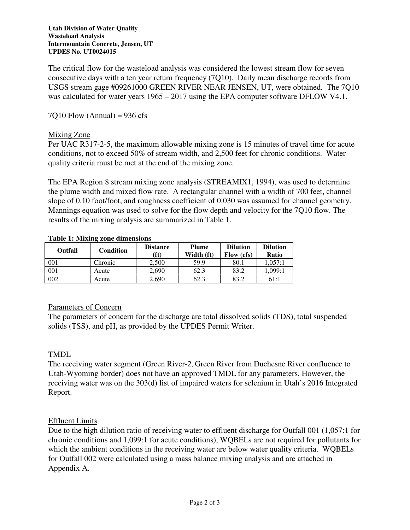The critical flow for the wasteload analysis was considered the lowest stream flow for seven consecutive days with a ten year return frequency (7Q10). Daily mean discharge records from USGS stream gage #09261000 GREEN RIVER NEAR JENSEN, UT, were obtained. The 7Q10 was calculated for water years  $1965 - 2017$  using the EPA computer software DFLOW V4.1.

 $7Q10$  Flow (Annual) = 936 cfs

## Mixing Zone

Per UAC R317-2-5, the maximum allowable mixing zone is 15 minutes of travel time for acute conditions, not to exceed 50% of stream width, and 2,500 feet for chronic conditions. Water quality criteria must be met at the end of the mixing zone.

The EPA Region 8 stream mixing zone analysis (STREAMIX1, 1994), was used to determine the plume width and mixed flow rate. A rectangular channel with a width of 700 feet, channel slope of 0.10 foot/foot, and roughness coefficient of 0.030 was assumed for channel geometry. Mannings equation was used to solve for the flow depth and velocity for the 7Q10 flow. The results of the mixing analysis are summarized in Table 1.

| Outfall | Condition | <b>Distance</b><br>(ft) | <b>Plume</b><br>Width (ft) | <b>Dilution</b><br>Flow (cfs) | <b>Dilution</b><br>Ratio |
|---------|-----------|-------------------------|----------------------------|-------------------------------|--------------------------|
| 001     | Chronic   | 2.500                   | 59.9                       | 80.1                          | 1.057:1                  |
| 001     | Acute     | 2.690                   | 62.3                       | 83.2                          | 1.099:1                  |
| 002     | Acute     | 2.690                   | 62.3                       | 83.2                          | 61:1                     |

### **Table 1: Mixing zone dimensions**

## Parameters of Concern

The parameters of concern for the discharge are total dissolved solids (TDS), total suspended solids (TSS), and pH, as provided by the UPDES Permit Writer.

## TMDL

The receiving water segment (Green River-2, Green River from Duchesne River confluence to Utah-Wyoming border) does not have an approved TMDL for any parameters. However, the receiving water was on the 303(d) list of impaired waters for selenium in Utah's 2016 Integrated Report.

## Effluent Limits

Due to the high dilution ratio of receiving water to effluent discharge for Outfall 001 (1,057:1 for chronic conditions and 1,099:1 for acute conditions), WQBELs are not required for pollutants for which the ambient conditions in the receiving water are below water quality criteria. WQBELs for Outfall 002 were calculated using a mass balance mixing analysis and are attached in Appendix A.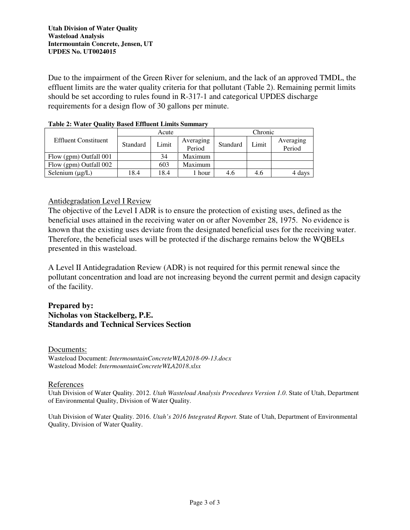Due to the impairment of the Green River for selenium, and the lack of an approved TMDL, the effluent limits are the water quality criteria for that pollutant (Table 2). Remaining permit limits should be set according to rules found in R-317-1 and categorical UPDES discharge requirements for a design flow of 30 gallons per minute.

|                             | Acute    |       |                     | Chronic  |       |                     |
|-----------------------------|----------|-------|---------------------|----------|-------|---------------------|
| <b>Effluent Constituent</b> | Standard | Limit | Averaging<br>Period | Standard | Limit | Averaging<br>Period |
| Flow (gpm) Outfall 001      |          | 34    | Maximum             |          |       |                     |
| Flow (gpm) Outfall 002      |          | 603   | Maximum             |          |       |                     |
| Selenium $(\mu g/L)$        | 18.4     | 18.4  | hour                | 4.6      | 4.6   | 4 days              |

### **Table 2: Water Quality Based Effluent Limits Summary**

# Antidegradation Level I Review

The objective of the Level I ADR is to ensure the protection of existing uses, defined as the beneficial uses attained in the receiving water on or after November 28, 1975. No evidence is known that the existing uses deviate from the designated beneficial uses for the receiving water. Therefore, the beneficial uses will be protected if the discharge remains below the WQBELs presented in this wasteload.

A Level II Antidegradation Review (ADR) is not required for this permit renewal since the pollutant concentration and load are not increasing beyond the current permit and design capacity of the facility.

## **Prepared by: Nicholas von Stackelberg, P.E. Standards and Technical Services Section**

Documents: Wasteload Document: *IntermountainConcreteWLA2018-09-13.docx* Wasteload Model: *IntermountainConcreteWLA2018.xlsx*

### References

Utah Division of Water Quality. 2012. *Utah Wasteload Analysis Procedures Version 1.0*. State of Utah, Department of Environmental Quality, Division of Water Quality.

Utah Division of Water Quality. 2016. *Utah's 2016 Integrated Report.* State of Utah, Department of Environmental Quality, Division of Water Quality.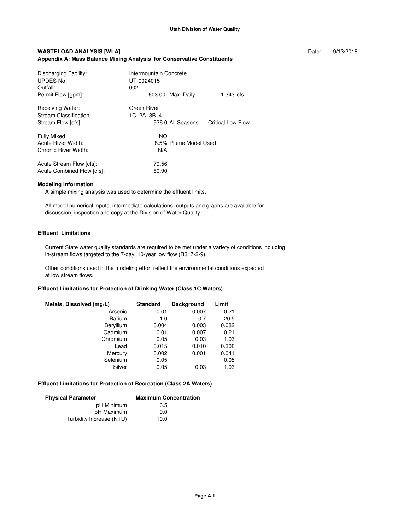#### WASTELOAD ANALYSIS [WLA] **Date:** 9/13/2018 **Appendix A: Mass Balance Mixing Analysis for Conservative Constituents**

| Discharging Facility:<br>UPDES No:<br>Outfall:                   | Intermountain Concrete<br>UT-0024015<br>002       |                          |
|------------------------------------------------------------------|---------------------------------------------------|--------------------------|
| Permit Flow [gpm]:                                               | 603.00 Max. Daily                                 | 1.343 cfs                |
| Receiving Water:<br>Stream Classification:<br>Stream Flow [cfs]: | Green River<br>1C, 2A, 3B, 4<br>936.0 All Seasons | <b>Critical Low Flow</b> |
| Fully Mixed:<br>Acute River Width:<br>Chronic River Width:       | NO.<br>8.5% Plume Model Used<br>N/A               |                          |
| Acute Stream Flow [cfs]:<br>Acute Combined Flow [cfs]:           | 79.56<br>80.90                                    |                          |

#### **Modeling Information**

A simple mixing analysis was used to determine the effluent limits.

 All model numerical inputs, intermediate calculations, outputs and graphs are available for discussion, inspection and copy at the Division of Water Quality.

#### **Effluent Limitations**

 Current State water quality standards are required to be met under a variety of conditions including in-stream flows targeted to the 7-day, 10-year low flow (R317-2-9).

 Other conditions used in the modeling effort reflect the environmental conditions expected at low stream flows.

### **Effluent Limitations for Protection of Drinking Water (Class 1C Waters)**

| Metals, Dissolved (mg/L) | <b>Standard</b> | <b>Background</b> | Limit |
|--------------------------|-----------------|-------------------|-------|
| Arsenic                  | 0.01            | 0.007             | 0.21  |
| Barium                   | 1.0             | 0.7               | 20.5  |
| Beryllium                | 0.004           | 0.003             | 0.082 |
| Cadmium                  | 0.01            | 0.007             | 0.21  |
| Chromium                 | 0.05            | 0.03              | 1.03  |
| Lead                     | 0.015           | 0.010             | 0.308 |
| Mercury                  | 0.002           | 0.001             | 0.041 |
| Selenium                 | 0.05            |                   | 0.05  |
| Silver                   | 0.05            | 0.03              | 1.03  |

#### **Effluent Limitations for Protection of Recreation (Class 2A Waters)**

| <b>Physical Parameter</b> | <b>Maximum Concentration</b> |
|---------------------------|------------------------------|
| pH Minimum                | 6.5                          |
| pH Maximum                | 9.0                          |
| Turbidity Increase (NTU)  | 10.0                         |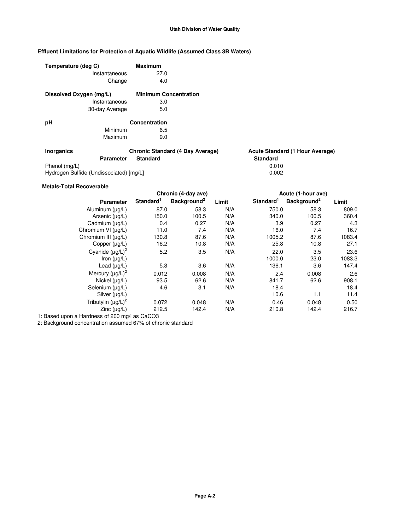### **Utah Division of Water Quality**

### **Effluent Limitations for Protection of Aquatic Wildlife (Assumed Class 3B Waters)**

| Temperature (deg C)     |                  | <b>Maximum</b>                          |                                        |
|-------------------------|------------------|-----------------------------------------|----------------------------------------|
|                         | Instantaneous    | 27.0                                    |                                        |
|                         | Change           | 4.0                                     |                                        |
| Dissolved Oxygen (mg/L) |                  | <b>Minimum Concentration</b>            |                                        |
|                         | Instantaneous    | 3.0                                     |                                        |
|                         | 30-day Average   | 5.0                                     |                                        |
| рH                      |                  | Concentration                           |                                        |
|                         | Minimum          | 6.5                                     |                                        |
|                         | Maximum          | 9.0                                     |                                        |
| <b>Inorganics</b>       |                  | <b>Chronic Standard (4 Day Average)</b> | <b>Acute Standard (1 Hour Average)</b> |
|                         | <b>Parameter</b> | <b>Standard</b>                         | <b>Standard</b>                        |
| Phenol (mg/L)           |                  |                                         | 0.010                                  |

Hydrogen Sulfide (Undissociated) [mg/L] 0.002

#### **Metals-Total Recoverable**

| Chronic (4-day ave)   |                         |       |                       |                         |                                                      |
|-----------------------|-------------------------|-------|-----------------------|-------------------------|------------------------------------------------------|
| Standard <sup>1</sup> | Background <sup>2</sup> | Limit | Standard <sup>1</sup> | Background <sup>2</sup> | Limit                                                |
| 87.0                  | 58.3                    | N/A   | 750.0                 | 58.3                    | 809.0                                                |
| 150.0                 | 100.5                   | N/A   | 340.0                 | 100.5                   | 360.4                                                |
| 0.4                   | 0.27                    | N/A   | 3.9                   | 0.27                    | 4.3                                                  |
| 11.0                  | 7.4                     | N/A   |                       | 7.4                     | 16.7                                                 |
| 130.8                 | 87.6                    | N/A   |                       | 87.6                    | 1083.4                                               |
|                       | 10.8                    | N/A   | 25.8                  | 10.8                    | 27.1                                                 |
| 5.2                   | 3.5                     | N/A   |                       | 3.5                     | 23.6                                                 |
|                       |                         |       | 1000.0                | 23.0                    | 1083.3                                               |
| 5.3                   | 3.6                     | N/A   | 136.1                 | 3.6                     | 147.4                                                |
| 0.012                 | 0.008                   | N/A   | 2.4                   | 0.008                   | 2.6                                                  |
| 93.5                  | 62.6                    | N/A   | 841.7                 | 62.6                    | 908.1                                                |
| 4.6                   | 3.1                     | N/A   | 18.4                  |                         | 18.4                                                 |
|                       |                         |       | 10.6                  | 1.1                     | 11.4                                                 |
| 0.072                 | 0.048                   | N/A   |                       | 0.048                   | 0.50                                                 |
| 212.5                 | 142.4                   | N/A   | 210.8                 | 142.4                   | 216.7                                                |
|                       |                         | 16.2  |                       |                         | Acute (1-hour ave)<br>16.0<br>1005.2<br>22.0<br>0.46 |

1: Based upon a Hardness of 200 mg/l as CaCO3

2: Background concentration assumed 67% of chronic standard